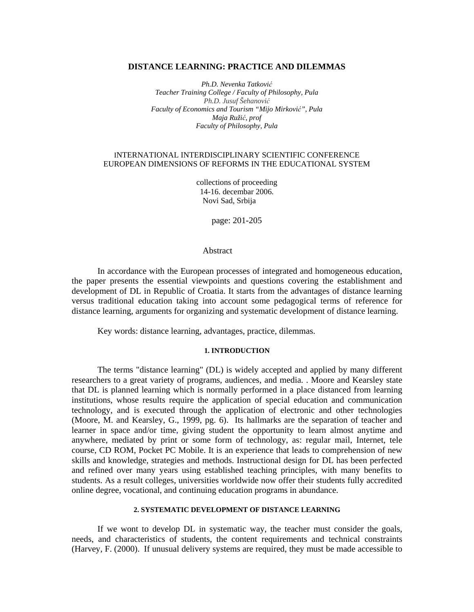#### **DISTANCE LEARNING: PRACTICE AND DILEMMAS**

*Ph.D. Nevenka Tatković Teacher Training College / Faculty of Philosophy, Pula Ph.D. Jusuf Šehanović Faculty of Economics and Tourism "Mijo Mirković", Pula Maja Ružić, prof Faculty of Philosophy, Pula* 

# INTERNATIONAL INTERDISCIPLINARY SCIENTIFIC CONFERENCE EUROPEAN DIMENSIONS OF REFORMS IN THE EDUCATIONAL SYSTEM

collections of proceeding 14-16. decembar 2006. Novi Sad, Srbija

page: 201-205

# Abstract

In accordance with the European processes of integrated and homogeneous education, the paper presents the essential viewpoints and questions covering the establishment and development of DL in Republic of Croatia. It starts from the advantages of distance learning versus traditional education taking into account some pedagogical terms of reference for distance learning, arguments for organizing and systematic development of distance learning.

Key words: distance learning, advantages, practice, dilemmas.

#### **1. INTRODUCTION**

The terms "distance learning" (DL) is widely accepted and applied by many different researchers to a great variety of programs, audiences, and media. . Moore and Kearsley state that DL is planned learning which is normally performed in a place distanced from learning institutions, whose results require the application of special education and communication technology, and is executed through the application of electronic and other technologies (Moore, M. and Kearsley, G., 1999, pg. 6). Its hallmarks are the separation of teacher and learner in space and/or time, giving student the opportunity to learn almost anytime and anywhere, mediated by print or some form of technology, as: regular mail, Internet, tele course, CD ROM, Pocket PC Mobile. It is an experience that leads to comprehension of new skills and knowledge, strategies and methods. Instructional design for DL has been perfected and refined over many years using established teaching principles, with many benefits to students. As a result colleges, universities worldwide now offer their students fully accredited online degree, vocational, and continuing education programs in abundance.

## **2. SYSTEMATIC DEVELOPMENT OF DISTANCE LEARNING**

If we wont to develop DL in systematic way, the teacher must consider the goals, needs, and characteristics of students, the content requirements and technical constraints (Harvey, F. (2000). If unusual delivery systems are required, they must be made accessible to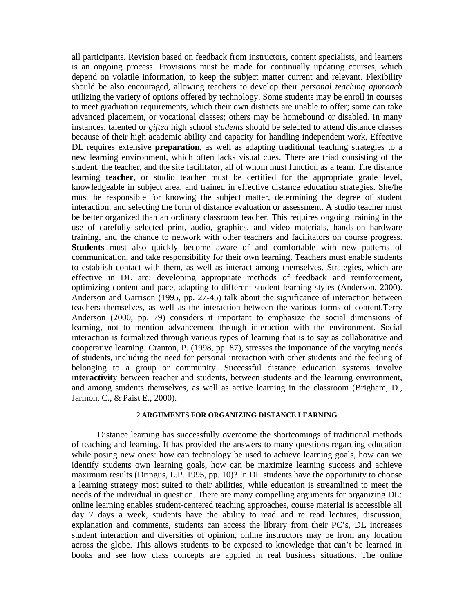all participants. Revision based on feedback from instructors, content specialists, and learners is an ongoing process. Provisions must be made for continually updating courses, which depend on volatile information, to keep the subject matter current and relevant. Flexibility should be also encouraged, allowing teachers to develop their *personal teaching approach* utilizing the variety of options offered by technology. Some students may be enroll in courses to meet graduation requirements, which their own districts are unable to offer; some can take advanced placement, or vocational classes; others may be homebound or disabled. In many instances, talented or *gifted* high school *students* should be selected to attend distance classes because of their high academic ability and capacity for handling independent work. Effective DL requires extensive **preparation**, as well as adapting traditional teaching strategies to a new learning environment, which often lacks visual cues. There are triad consisting of the student, the teacher, and the site facilitator, all of whom must function as a team. The distance learning **teacher**, or studio teacher must be certified for the appropriate grade level, knowledgeable in subject area, and trained in effective distance education strategies. She/he must be responsible for knowing the subject matter, determining the degree of student interaction, and selecting the form of distance evaluation or assessment. A studio teacher must be better organized than an ordinary classroom teacher. This requires ongoing training in the use of carefully selected print, audio, graphics, and video materials, hands-on hardware training, and the chance to network with other teachers and facilitators on course progress. **Students** must also quickly become aware of and comfortable with new patterns of communication, and take responsibility for their own learning. Teachers must enable students to establish contact with them, as well as interact among themselves. Strategies, which are effective in DL are: developing appropriate methods of feedback and reinforcement, optimizing content and pace, adapting to different student learning styles (Anderson, 2000). Anderson and Garrison (1995, pp. 27-45) talk about the significance of interaction between teachers themselves, as well as the interaction between the various forms of content.Terry Anderson (2000, pp. 79) considers it important to emphasize the social dimensions of learning, not to mention advancement through interaction with the environment. Social interaction is formalized through various types of learning that is to say as collaborative and cooperative learning. Cranton, P. (1998, pp. 87), stresses the importance of the varying needs of students, including the need for personal interaction with other students and the feeling of belonging to a group or community. Successful distance education systems involve i**nteractivit**y between teacher and students, between students and the learning environment, and among students themselves, as well as active learning in the classroom (Brigham, D., Jarmon, C., & Paist E., 2000).

## **2 ARGUMENTS FOR ORGANIZING DISTANCE LEARNING**

Distance learning has successfully overcome the shortcomings of traditional methods of teaching and learning. It has provided the answers to many questions regarding education while posing new ones: how can technology be used to achieve learning goals, how can we identify students own learning goals, how can be maximize learning success and achieve maximum results (Dringus, L.P. 1995, pp. 10)? In DL students have the opportunity to choose a learning strategy most suited to their abilities, while education is streamlined to meet the needs of the individual in question. There are many compelling arguments for organizing DL: online learning enables student-centered teaching approaches, course material is accessible all day 7 days a week, students have the ability to read and re read lectures, discussion, explanation and comments, students can access the library from their PC's, DL increases student interaction and diversities of opinion, online instructors may be from any location across the globe. This allows students to be exposed to knowledge that can't be learned in books and see how class concepts are applied in real business situations. The online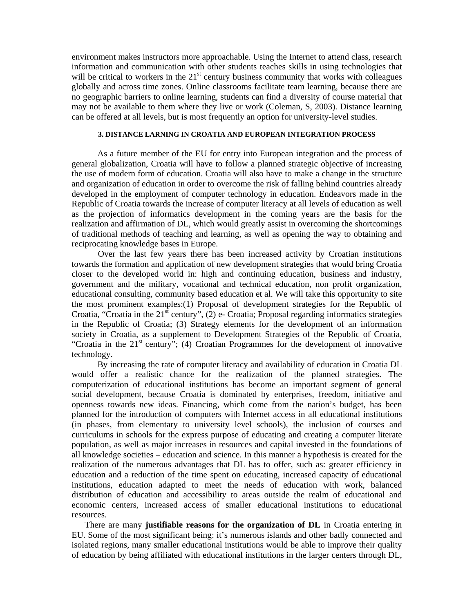environment makes instructors more approachable. Using the Internet to attend class, research information and communication with other students teaches skills in using technologies that will be critical to workers in the  $21<sup>st</sup>$  century business community that works with colleagues globally and across time zones. Online classrooms facilitate team learning, because there are no geographic barriers to online learning, students can find a diversity of course material that may not be available to them where they live or work (Coleman, S, 2003). Distance learning can be offered at all levels, but is most frequently an option for university-level studies.

## **3. DISTANCE LARNING IN CROATIA AND EUROPEAN INTEGRATION PROCESS**

As a future member of the EU for entry into European integration and the process of general globalization, Croatia will have to follow a planned strategic objective of increasing the use of modern form of education. Croatia will also have to make a change in the structure and organization of education in order to overcome the risk of falling behind countries already developed in the employment of computer technology in education. Endeavors made in the Republic of Croatia towards the increase of computer literacy at all levels of education as well as the projection of informatics development in the coming years are the basis for the realization and affirmation of DL, which would greatly assist in overcoming the shortcomings of traditional methods of teaching and learning, as well as opening the way to obtaining and reciprocating knowledge bases in Europe.

Over the last few years there has been increased activity by Croatian institutions towards the formation and application of new development strategies that would bring Croatia closer to the developed world in: high and continuing education, business and industry, government and the military, vocational and technical education, non profit organization, educational consulting, community based education et al. We will take this opportunity to site the most prominent examples:(1) Proposal of development strategies for the Republic of Croatia, "Croatia in the  $21<sup>st</sup>$  century", (2) e- Croatia; Proposal regarding informatics strategies in the Republic of Croatia; (3) Strategy elements for the development of an information society in Croatia, as a supplement to Development Strategies of the Republic of Croatia, "Croatia in the  $21<sup>st</sup>$  century"; (4) Croatian Programmes for the development of innovative technology.

By increasing the rate of computer literacy and availability of education in Croatia DL would offer a realistic chance for the realization of the planned strategies. The computerization of educational institutions has become an important segment of general social development, because Croatia is dominated by enterprises, freedom, initiative and openness towards new ideas. Financing, which come from the nation's budget, has been planned for the introduction of computers with Internet access in all educational institutions (in phases, from elementary to university level schools), the inclusion of courses and curriculums in schools for the express purpose of educating and creating a computer literate population, as well as major increases in resources and capital invested in the foundations of all knowledge societies – education and science. In this manner a hypothesis is created for the realization of the numerous advantages that DL has to offer, such as: greater efficiency in education and a reduction of the time spent on educating, increased capacity of educational institutions, education adapted to meet the needs of education with work, balanced distribution of education and accessibility to areas outside the realm of educational and economic centers, increased access of smaller educational institutions to educational resources.

There are many **justifiable reasons for the organization of DL** in Croatia entering in EU. Some of the most significant being: it's numerous islands and other badly connected and isolated regions, many smaller educational institutions would be able to improve their quality of education by being affiliated with educational institutions in the larger centers through DL,